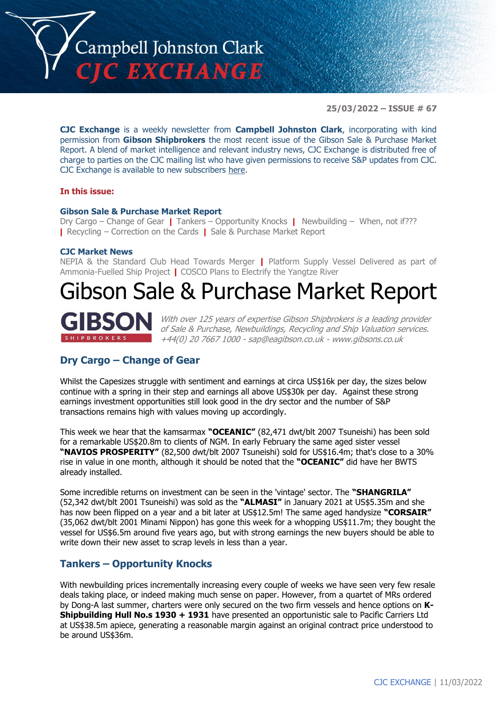

**25/03/2022 – ISSUE # 67**

**CJC Exchange** is a weekly newsletter from **Campbell Johnston Clark**, incorporating with kind permission from **Gibson Shipbrokers** the most recent issue of the Gibson Sale & Purchase Market Report. A blend of market intelligence and relevant industry news, CJC Exchange is distributed free of charge to parties on the CJC mailing list who have given permissions to receive S&P updates from CJC. CJC Exchange is available to new subscribers [here.](mailto:jamesc@cjclaw.com?subject=CJC%20Exchange%20sign-up)

#### **In this issue:**

#### **Gibson Sale & Purchase Market Report**

Dry Cargo – Change of Gear **|** Tankers – Opportunity Knocks **|** Newbuilding – When, not if??? **|** Recycling – Correction on the Cards **|** Sale & Purchase Market Report

#### **CJC Market News**

NEPIA & the Standard Club Head Towards Merger **|** Platform Supply Vessel Delivered as part of Ammonia-Fuelled Ship Project **|** COSCO Plans to Electrify the Yangtze River

# Gibson Sale & Purchase Market Report



With over 125 years of expertise Gibson Shipbrokers is a leading provider of Sale & Purchase, Newbuildings, Recycling and Ship Valuation services. +44(0) 20 7667 1000 - [sap@eagibson.co.uk](mailto:sap@eagibson.co.uk) - [www.gibsons.co.uk](https://protect-eu.mimecast.com/s/VO6nCGZzRS60KqcK1jQh/)

#### **Dry Cargo – Change of Gear**

Whilst the Capesizes struggle with sentiment and earnings at circa US\$16k per day, the sizes below continue with a spring in their step and earnings all above US\$30k per day. Against these strong earnings investment opportunities still look good in the dry sector and the number of S&P transactions remains high with values moving up accordingly.

This week we hear that the kamsarmax **"OCEANIC"** (82,471 dwt/blt 2007 Tsuneishi) has been sold for a remarkable US\$20.8m to clients of NGM. In early February the same aged sister vessel **"NAVIOS PROSPERITY"** (82,500 dwt/blt 2007 Tsuneishi) sold for US\$16.4m; that's close to a 30% rise in value in one month, although it should be noted that the **"OCEANIC"** did have her BWTS already installed.

Some incredible returns on investment can be seen in the 'vintage' sector. The **"SHANGRILA"** (52,342 dwt/blt 2001 Tsuneishi) was sold as the **"ALMASI"** in January 2021 at US\$5.35m and she has now been flipped on a year and a bit later at US\$12.5m! The same aged handysize **"CORSAIR"** (35,062 dwt/blt 2001 Minami Nippon) has gone this week for a whopping US\$11.7m; they bought the vessel for US\$6.5m around five years ago, but with strong earnings the new buyers should be able to write down their new asset to scrap levels in less than a year.

### **Tankers – Opportunity Knocks**

With newbuilding prices incrementally increasing every couple of weeks we have seen very few resale deals taking place, or indeed making much sense on paper. However, from a quartet of MRs ordered by Dong-A last summer, charters were only secured on the two firm vessels and hence options on **K-Shipbuilding Hull No.s 1930 + 1931** have presented an opportunistic sale to Pacific Carriers Ltd at US\$38.5m apiece, generating a reasonable margin against an original contract price understood to be around US\$36m.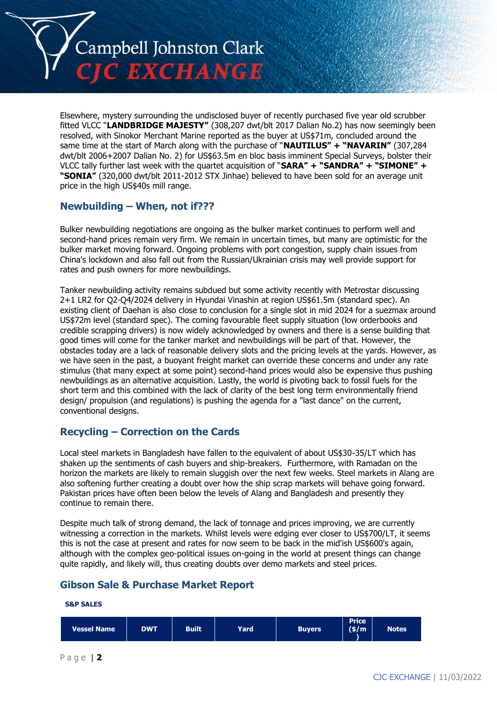

Elsewhere, mystery surrounding the undisclosed buyer of recently purchased five year old scrubber fitted VLCC "**LANDBRIDGE MAJESTY"** (308,207 dwt/blt 2017 Dalian No.2) has now seemingly been resolved, with Sinokor Merchant Marine reported as the buyer at US\$71m, concluded around the same time at the start of March along with the purchase of "**NAUTILUS" + "NAVARIN"** (307,284 dwt/blt 2006+2007 Dalian No. 2) for US\$63.5m en bloc basis imminent Special Surveys, bolster their VLCC tally further last week with the quartet acquisition of "**SARA" + "SANDRA" + "SIMONE" + "SONIA"** (320,000 dwt/blt 2011-2012 STX Jinhae) believed to have been sold for an average unit price in the high US\$40s mill range.

# **Newbuilding – When, not if???**

Bulker newbuilding negotiations are ongoing as the bulker market continues to perform well and second-hand prices remain very firm. We remain in uncertain times, but many are optimistic for the bulker market moving forward. Ongoing problems with port congestion, supply chain issues from China's lockdown and also fall out from the Russian/Ukrainian crisis may well provide support for rates and push owners for more newbuildings.

Tanker newbuilding activity remains subdued but some activity recently with Metrostar discussing 2+1 LR2 for Q2-Q4/2024 delivery in Hyundai Vinashin at region US\$61.5m (standard spec). An existing client of Daehan is also close to conclusion for a single slot in mid 2024 for a suezmax around US\$72m level (standard spec). The coming favourable fleet supply situation (low orderbooks and credible scrapping drivers) is now widely acknowledged by owners and there is a sense building that good times will come for the tanker market and newbuildings will be part of that. However, the obstacles today are a lack of reasonable delivery slots and the pricing levels at the yards. However, as we have seen in the past, a buoyant freight market can override these concerns and under any rate stimulus (that many expect at some point) second-hand prices would also be expensive thus pushing newbuildings as an alternative acquisition. Lastly, the world is pivoting back to fossil fuels for the short term and this combined with the lack of clarity of the best long term environmentally friend design/ propulsion (and regulations) is pushing the agenda for a "last dance" on the current, conventional designs.

# **Recycling – Correction on the Cards**

Local steel markets in Bangladesh have fallen to the equivalent of about US\$30-35/LT which has shaken up the sentiments of cash buyers and ship-breakers. Furthermore, with Ramadan on the horizon the markets are likely to remain sluggish over the next few weeks. Steel markets in Alang are also softening further creating a doubt over how the ship scrap markets will behave going forward. Pakistan prices have often been below the levels of Alang and Bangladesh and presently they continue to remain there.

Despite much talk of strong demand, the lack of tonnage and prices improving, we are currently witnessing a correction in the markets. Whilst levels were edging ever closer to US\$700/LT, it seems this is not the case at present and rates for now seem to be back in the mid'ish US\$600's again, although with the complex geo-political issues on-going in the world at present things can change quite rapidly, and likely will, thus creating doubts over demo markets and steel prices.

# **Gibson Sale & Purchase Market Report**

#### **S&P SALES**

| Vessel Name | <b>DWT</b> | <b>Built</b> | Yard | <b>Buyers</b> | <b>Price</b><br>$(\frac{\epsilon}{m})$ | <b>Notes</b> |
|-------------|------------|--------------|------|---------------|----------------------------------------|--------------|
|-------------|------------|--------------|------|---------------|----------------------------------------|--------------|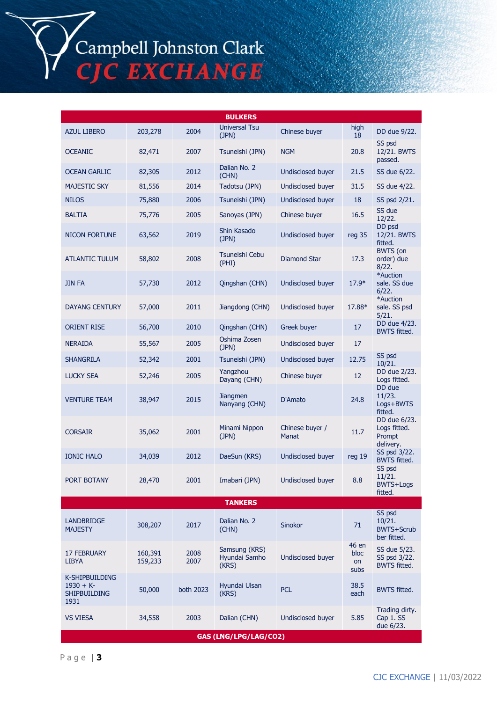# Campbell Johnston Clark<br>CJC EXCHANGE

| <b>BULKERS</b>                                              |                    |              |                                         |                          |                             |                                                      |  |
|-------------------------------------------------------------|--------------------|--------------|-----------------------------------------|--------------------------|-----------------------------|------------------------------------------------------|--|
| <b>AZUL LIBERO</b>                                          | 203,278            | 2004         | <b>Universal Tsu</b><br>(JPN)           | Chinese buyer            | high<br>18                  | DD due 9/22.                                         |  |
| <b>OCEANIC</b>                                              | 82,471             | 2007         | Tsuneishi (JPN)                         | <b>NGM</b>               | 20.8                        | SS psd<br>12/21. BWTS<br>passed.                     |  |
| <b>OCEAN GARLIC</b>                                         | 82,305             | 2012         | Dalian No. 2<br>(CHN)                   | Undisclosed buyer        | 21.5                        | SS due 6/22.                                         |  |
| <b>MAJESTIC SKY</b>                                         | 81,556             | 2014         | Tadotsu (JPN)                           | Undisclosed buyer        | 31.5                        | SS due 4/22.                                         |  |
| <b>NILOS</b>                                                | 75,880             | 2006         | Tsuneishi (JPN)                         | <b>Undisclosed buyer</b> | 18                          | SS psd 2/21.                                         |  |
| <b>BALTIA</b>                                               | 75,776             | 2005         | Sanoyas (JPN)                           | Chinese buyer            | 16.5                        | SS due<br>12/22.                                     |  |
| <b>NICON FORTUNE</b>                                        | 63,562             | 2019         | Shin Kasado<br>(JPN)                    | Undisclosed buyer        | reg 35                      | DD psd<br>12/21. BWTS<br>fitted.                     |  |
| <b>ATLANTIC TULUM</b>                                       | 58,802             | 2008         | Tsuneishi Cebu<br>(PHI)                 | Diamond Star             | 17.3                        | <b>BWTS</b> (on<br>order) due<br>8/22.               |  |
| jin fa                                                      | 57,730             | 2012         | Qingshan (CHN)                          | Undisclosed buyer        | $17.9*$                     | *Auction<br>sale. SS due<br>6/22.                    |  |
| <b>DAYANG CENTURY</b>                                       | 57,000             | 2011         | Jiangdong (CHN)                         | Undisclosed buyer        | 17.88*                      | *Auction<br>sale. SS psd<br>5/21.                    |  |
| <b>ORIENT RISE</b>                                          | 56,700             | 2010         | Qingshan (CHN)                          | Greek buyer              | 17                          | DD due 4/23.<br><b>BWTS fitted.</b>                  |  |
| <b>NERAIDA</b>                                              | 55,567             | 2005         | Oshima Zosen<br>(JPN)                   | Undisclosed buyer        | 17                          |                                                      |  |
| <b>SHANGRILA</b>                                            | 52,342             | 2001         | Tsuneishi (JPN)                         | Undisclosed buyer        | 12.75                       | SS psd<br>10/21.                                     |  |
| <b>LUCKY SEA</b>                                            | 52,246             | 2005         | Yangzhou<br>Dayang (CHN)                | Chinese buyer            | 12                          | DD due 2/23.<br>Logs fitted.                         |  |
| <b>VENTURE TEAM</b>                                         | 38,947             | 2015         | <b>Jiangmen</b><br>Nanyang (CHN)        | D'Amato                  | 24.8                        | DD due<br>11/23.<br>Logs+BWTS<br>fitted.             |  |
| <b>CORSAIR</b>                                              | 35,062             | 2001         | Minami Nippon<br>(JPN)                  | Chinese buyer /<br>Manat | 11.7                        | DD due 6/23.<br>Logs fitted.<br>Prompt<br>delivery.  |  |
| <b>IONIC HALO</b>                                           | 34,039             | 2012         | DaeSun (KRS)                            | <b>Undisclosed buyer</b> | reg 19                      | SS psd 3/22.<br><b>BWTS fitted.</b><br>SS psd        |  |
| PORT BOTANY                                                 | 28,470             | 2001         | Imabari (JPN)                           | Undisclosed buyer        | 8.8                         | 11/21.<br>BWTS+Logs<br>fitted.                       |  |
| <b>TANKERS</b>                                              |                    |              |                                         |                          |                             |                                                      |  |
| <b>LANDBRIDGE</b><br><b>MAJESTY</b>                         | 308,207            | 2017         | Dalian No. 2<br>(CHN)                   | Sinokor                  | 71                          | SS psd<br>10/21.<br><b>BWTS+Scrub</b><br>ber fitted. |  |
| <b>17 FEBRUARY</b><br>LIBYA                                 | 160,391<br>159,233 | 2008<br>2007 | Samsung (KRS)<br>Hyundai Samho<br>(KRS) | Undisclosed buyer        | 46 en<br>bloc<br>on<br>subs | SS due 5/23.<br>SS psd 3/22.<br><b>BWTS fitted.</b>  |  |
| K-SHIPBUILDING<br>$1930 + K$<br><b>SHIPBUILDING</b><br>1931 | 50,000             | both 2023    | Hyundai Ulsan<br>(KRS)                  | <b>PCL</b>               | 38.5<br>each                | <b>BWTS fitted.</b>                                  |  |
| <b>VS VIESA</b>                                             | 34,558             | 2003         | Dalian (CHN)                            | Undisclosed buyer        | 5.85                        | Trading dirty.<br>Cap 1. SS<br>due 6/23.             |  |
| GAS (LNG/LPG/LAG/CO2)                                       |                    |              |                                         |                          |                             |                                                      |  |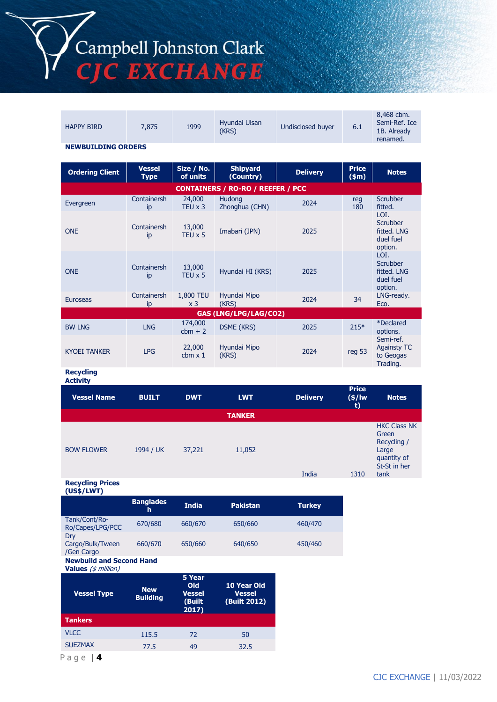Campbell Johnston Clark<br>CJC EXCHANGE

| <b>HAPPY BIRD</b>                   | 7,875                        | 1999                        | Hyundai Ulsan<br>(KRS)                   | Undisclosed buyer | 6.1                    | 8,468 cbm.<br>Semi-Ref. Ice<br>1B. Already<br>renamed.         |  |
|-------------------------------------|------------------------------|-----------------------------|------------------------------------------|-------------------|------------------------|----------------------------------------------------------------|--|
| <b>NEWBUILDING ORDERS</b>           |                              |                             |                                          |                   |                        |                                                                |  |
| <b>Ordering Client</b>              | <b>Vessel</b><br><b>Type</b> | Size / No.<br>of units      | <b>Shipyard</b><br>(Country)             | <b>Delivery</b>   | <b>Price</b><br>\$m\$  | <b>Notes</b>                                                   |  |
|                                     |                              |                             | <b>CONTAINERS / RO-RO / REEFER / PCC</b> |                   |                        |                                                                |  |
| Evergreen                           | Containersh<br>ip            | 24,000<br>TEU $\times$ 3    | Hudong<br>Zhonghua (CHN)                 | 2024              | reg<br>180             | Scrubber<br>fitted.                                            |  |
| <b>ONE</b>                          | Containersh<br>ip            | 13,000<br>TEU $\times$ 5    | Imabari (JPN)                            | 2025              |                        | LOI.<br><b>Scrubber</b><br>fitted. LNG<br>duel fuel<br>option. |  |
| <b>ONE</b>                          | Containersh<br>ip            | 13,000<br>$TEU \times 5$    | Hyundai HI (KRS)                         | 2025              |                        | LOI.<br><b>Scrubber</b><br>fitted. LNG<br>duel fuel<br>option. |  |
| <b>Euroseas</b>                     | Containersh<br>ip            | 1,800 TEU<br>x <sub>3</sub> | Hyundai Mipo<br>(KRS)                    | 2024              | 34                     | LNG-ready.<br>Eco.                                             |  |
|                                     |                              |                             | GAS (LNG/LPG/LAG/CO2)                    |                   |                        |                                                                |  |
| <b>BW LNG</b>                       | <b>LNG</b>                   | 174,000<br>$cbm + 2$        | <b>DSME (KRS)</b>                        | 2025              | $215*$                 | *Declared<br>options.                                          |  |
| <b>KYOEI TANKER</b>                 | <b>LPG</b>                   | 22,000<br>$cbm \times 1$    | Hyundai Mipo<br>(KRS)                    | 2024              | reg 53                 | Semi-ref.<br><b>Againsty TC</b><br>to Geogas<br>Trading.       |  |
| <b>Recycling</b><br><b>Activity</b> |                              |                             |                                          |                   |                        |                                                                |  |
| <b>Vessel Name</b>                  | <b>BUILT</b>                 | <b>DWT</b>                  | <b>LWT</b>                               | <b>Delivery</b>   | <b>Price</b><br>(\$/lw | <b>Notes</b>                                                   |  |

|                   |           |        |               | ______ | $\mathbf{v}$<br>t) |                                                                                             |
|-------------------|-----------|--------|---------------|--------|--------------------|---------------------------------------------------------------------------------------------|
|                   |           |        | <b>TANKER</b> |        |                    |                                                                                             |
| <b>BOW FLOWER</b> | 1994 / UK | 37,221 | 11,052        | India  | 1310               | <b>HKC Class NK</b><br>Green<br>Recycling /<br>Large<br>quantity of<br>St-St in her<br>tank |

#### **Recycling Prices**

| (US\$/LWT)                                                     |                               |                                                   |                                              |               |
|----------------------------------------------------------------|-------------------------------|---------------------------------------------------|----------------------------------------------|---------------|
|                                                                | <b>Banglades</b><br>h         | <b>India</b>                                      | <b>Pakistan</b>                              | <b>Turkey</b> |
| Tank/Cont/Ro-<br>Ro/Capes/LPG/PCC                              | 670/680                       | 660/670                                           | 650/660                                      | 460/470       |
| Dry<br>Cargo/Bulk/Tween<br>/Gen Cargo                          | 660/670                       | 650/660                                           | 640/650                                      | 450/460       |
| <b>Newbuild and Second Hand</b><br><b>Values</b> $(s$ million) |                               |                                                   |                                              |               |
| <b>Vessel Type</b>                                             | <b>New</b><br><b>Building</b> | 5 Year<br>Old<br><b>Vessel</b><br>(Built<br>2017) | 10 Year Old<br><b>Vessel</b><br>(Built 2012) |               |

VLCC 115.5 72 50 SUEZMAX 77.5 49 32.5

**Tankers**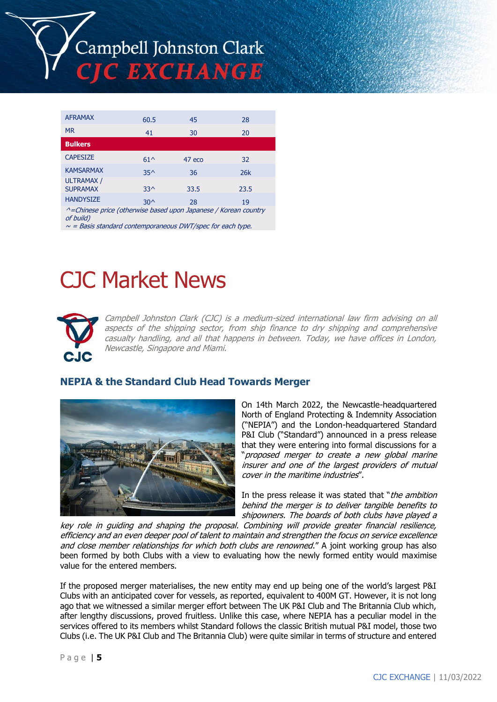

| <b>AFRAMAX</b>                                                               | 60.5            | 45     | 28   |  |  |  |
|------------------------------------------------------------------------------|-----------------|--------|------|--|--|--|
| <b>MR</b>                                                                    | 41              | 30     | 20   |  |  |  |
| <b>Bulkers</b>                                                               |                 |        |      |  |  |  |
| <b>CAPESIZE</b>                                                              | $61^$           | 47 eco | 32   |  |  |  |
| <b>KAMSARMAX</b>                                                             | 35 <sub>0</sub> | 36     | 26k  |  |  |  |
| <b>ULTRAMAX /</b><br><b>SUPRAMAX</b>                                         | $33^$           | 33.5   | 23.5 |  |  |  |
| <b>HANDYSIZE</b>                                                             | $30^$           | 28     | 19   |  |  |  |
| ^=Chinese price (otherwise based upon Japanese / Korean country<br>of build) |                 |        |      |  |  |  |

 $\sim$  = Basis standard contemporaneous DWT/spec for each type.

# CJC Market News



Campbell Johnston Clark (CJC) is a medium-sized international law firm advising on all aspects of the shipping sector, from ship finance to dry shipping and comprehensive casualty handling, and all that happens in between. Today, we have offices in London, Newcastle, Singapore and Miami.

# **NEPIA & the Standard Club Head Towards Merger**



On 14th March 2022, the Newcastle-headquartered North of England Protecting & Indemnity Association ("NEPIA") and the London-headquartered Standard P&I Club ("Standard") announced in a press release that they were entering into formal discussions for a "proposed merger to create a new global marine insurer and one of the largest providers of mutual cover in the maritime industries".

In the press release it was stated that "*the ambition* behind the merger is to deliver tangible benefits to shipowners. The boards of both clubs have played a

key role in guiding and shaping the proposal. Combining will provide greater financial resilience, efficiency and an even deeper pool of talent to maintain and strengthen the focus on service excellence and close member relationships for which both clubs are renowned." A joint working group has also been formed by both Clubs with a view to evaluating how the newly formed entity would maximise value for the entered members.

If the proposed merger materialises, the new entity may end up being one of the world's largest P&I Clubs with an anticipated cover for vessels, as reported, equivalent to 400M GT. However, it is not long ago that we witnessed a similar merger effort between The UK P&I Club and The Britannia Club which, after lengthy discussions, proved fruitless. Unlike this case, where NEPIA has a peculiar model in the services offered to its members whilst Standard follows the classic British mutual P&I model, those two Clubs (i.e. The UK P&I Club and The Britannia Club) were quite similar in terms of structure and entered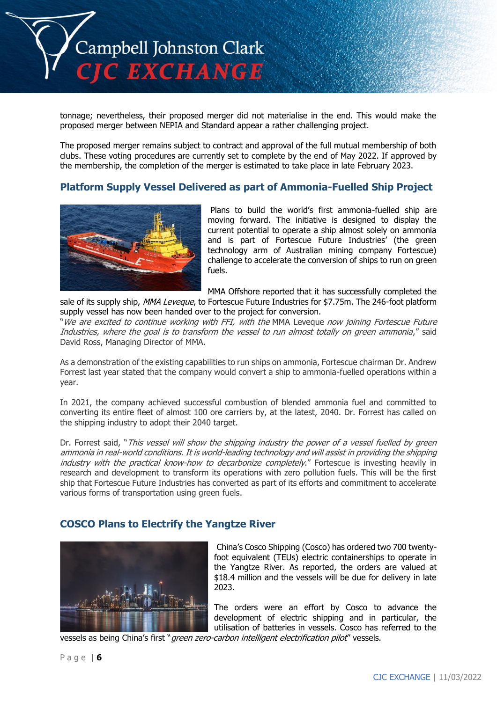

tonnage; nevertheless, their proposed merger did not materialise in the end. This would make the proposed merger between NEPIA and Standard appear a rather challenging project.

The proposed merger remains subject to contract and approval of the full mutual membership of both clubs. These voting procedures are currently set to complete by the end of May 2022. If approved by the membership, the completion of the merger is estimated to take place in late February 2023.

#### **Platform Supply Vessel Delivered as part of Ammonia-Fuelled Ship Project**



Plans to build the world's first ammonia-fuelled ship are moving forward. The initiative is designed to display the current potential to operate a ship almost solely on ammonia and is part of Fortescue Future Industries' (the green technology arm of Australian mining company Fortescue) challenge to accelerate the conversion of ships to run on green fuels.

MMA Offshore reported that it has successfully completed the sale of its supply ship, MMA Leveque, to Fortescue Future Industries for \$7.75m. The 246-foot platform supply vessel has now been handed over to the project for conversion.

"We are excited to continue working with FFI, with the MMA Leveque now joining Fortescue Future Industries, where the goal is to transform the vessel to run almost totally on green ammonia," said David Ross, Managing Director of MMA.

As a demonstration of the existing capabilities to run ships on ammonia, Fortescue chairman Dr. Andrew Forrest last year stated that the company would convert a ship to ammonia-fuelled operations within a year.

In 2021, the company achieved successful combustion of blended ammonia fuel and committed to converting its entire fleet of almost 100 ore carriers by, at the latest, 2040. Dr. Forrest has called on the shipping industry to adopt their 2040 target.

Dr. Forrest said, "This vessel will show the shipping industry the power of a vessel fuelled by green ammonia in real-world conditions. It is world-leading technology and will assist in providing the shipping industry with the practical know-how to decarbonize completely." Fortescue is investing heavily in research and development to transform its operations with zero pollution fuels. This will be the first ship that Fortescue Future Industries has converted as part of its efforts and commitment to accelerate various forms of transportation using green fuels.

#### **COSCO Plans to Electrify the Yangtze River**



China's Cosco Shipping (Cosco) has ordered two 700 twentyfoot equivalent (TEUs) electric containerships to operate in the Yangtze River. As reported, the orders are valued at \$18.4 million and the vessels will be due for delivery in late 2023.

The orders were an effort by Cosco to advance the development of electric shipping and in particular, the utilisation of batteries in vessels. Cosco has referred to the

vessels as being China's first "green zero-carbon intelligent electrification pilot" vessels.